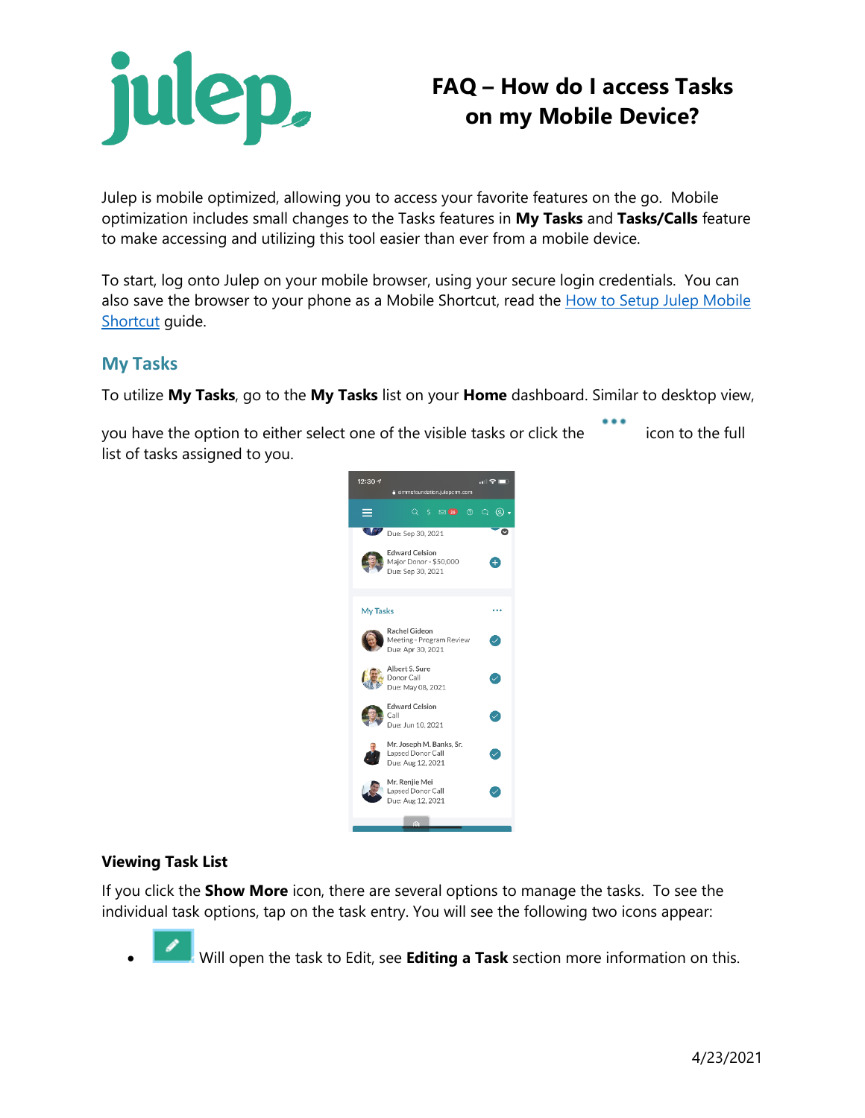

# **FAQ – How do I access Tasks on my Mobile Device?**

Julep is mobile optimized, allowing you to access your favorite features on the go. Mobile optimization includes small changes to the Tasks features in **My Tasks** and **Tasks/Calls** feature to make accessing and utilizing this tool easier than ever from a mobile device.

To start, log onto Julep on your mobile browser, using your secure login credentials. You can also save the browser to your phone as a Mobile Shortcut, read the How to Setup Julep Mobile [Shortcut](https://support.julepcrm.com/hc/en-us/articles/360060339251-Julep-FAQ-How-to-Setup-Julep-Mobile-Shortcut) guide.

### **My Tasks**

To utilize **My Tasks**, go to the **My Tasks** list on your **Home** dashboard. Similar to desktop view,

you have the option to either select one of the visible tasks or click the icon to the full list of tasks assigned to you.



#### **Viewing Task List**

If you click the **Show More** icon, there are several options to manage the tasks. To see the individual task options, tap on the task entry. You will see the following two icons appear:

• Will open the task to Edit, see **Editing a Task** section more information on this.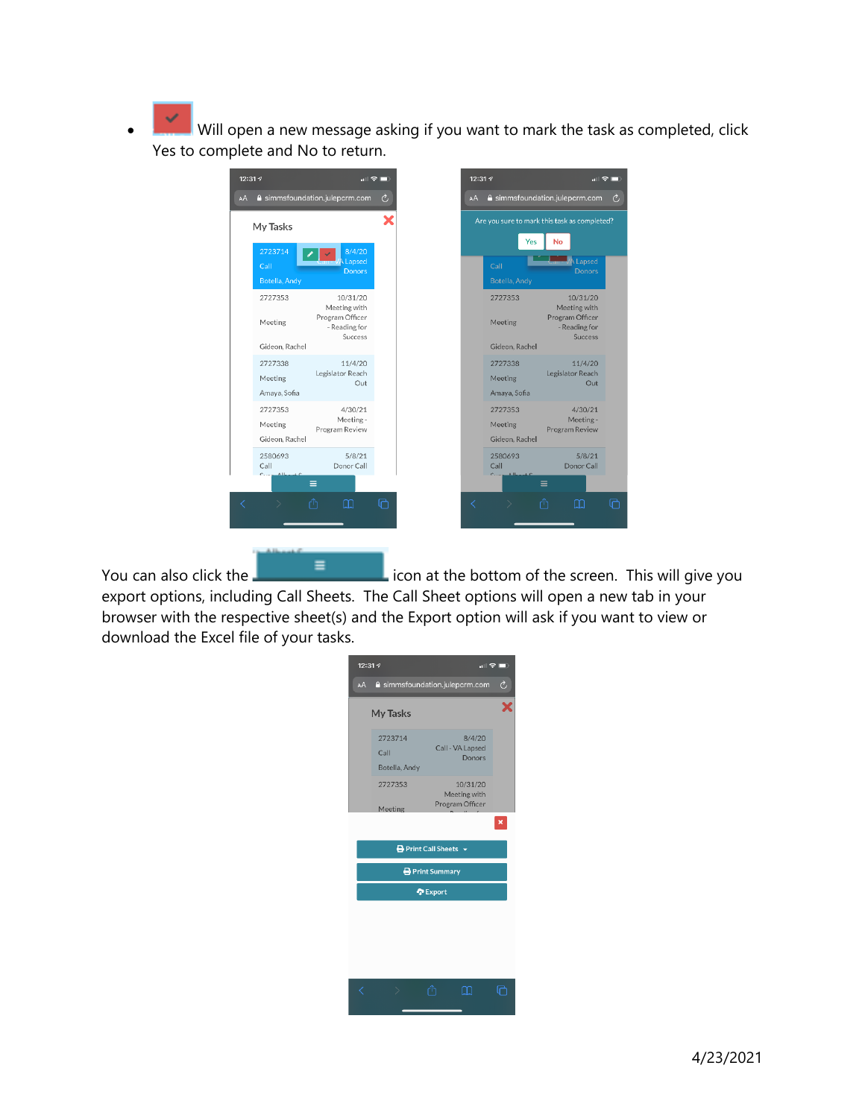$\vert$  Will open a new message asking if you want to mark the task as completed, click Yes to complete and No to return.

|                                      |                                                                         | $\blacksquare$ | 12:31 1                              | $\blacksquare$                                                                 |
|--------------------------------------|-------------------------------------------------------------------------|----------------|--------------------------------------|--------------------------------------------------------------------------------|
|                                      | a simmsfoundation.julepcrm.com                                          | Ò              | AA                                   | a simmsfoundation.julepcrm.com                                                 |
| My Tasks                             |                                                                         | ×              |                                      | Are you sure to mark this task as completed?                                   |
| 2723714<br>Call<br>Botella, Andy     | 8/4/20<br>Lapsed<br><b>Donors</b>                                       |                | Yes<br>Call<br>Botella, Andy         | No<br>A Lapsed<br><b>Donors</b>                                                |
| 2727353<br>Meeting<br>Gideon, Rachel | 10/31/20<br>Meeting with<br>Program Officer<br>- Reading for<br>Success |                | 2727353<br>Meeting<br>Gideon, Rachel | 10/31/20<br>Meeting with<br>Program Officer<br>- Reading for<br><b>Success</b> |
| Amaya, Sofia                         | 11/4/20<br>Legislator Reach<br>Out                                      |                | 2727338<br>Meeting<br>Amaya, Sofia   | 11/4/20<br>Legislator Reach<br>Out                                             |
|                                      | 4/30/21<br>Meeting -<br>Program Review                                  |                | 2727353<br>Meeting<br>Gideon, Rachel | 4/30/21<br>Meeting -<br>Program Review                                         |
| 2580693                              | 5/8/21<br>Donor Call<br>Ξ                                               |                | 2580693<br>Call                      | 5/8/21<br>Donor Call<br>Ξ                                                      |
|                                      | ń<br>m                                                                  | ጠ              |                                      | rħ<br>m                                                                        |

You can also click the  $\Box$  icon at the bottom of the screen. This will give you export options, including Call Sheets. The Call Sheet options will open a new tab in your browser with the respective sheet(s) and the Export option will ask if you want to view or download the Excel file of your tasks.

| 12:31 - |                                  |                                 |                  | $\blacksquare$ $\blacksquare$ |  |
|---------|----------------------------------|---------------------------------|------------------|-------------------------------|--|
| AA      | a simmsfoundation.julepcrm.com   |                                 |                  | Ò                             |  |
|         | My Tasks                         |                                 |                  |                               |  |
|         | 2723714<br>Call<br>Botella, Andy | Call - VA Lapsed                | 8/4/20<br>Donors |                               |  |
|         | 2727353<br>Meeting               | Meeting with<br>Program Officer | 10/31/20         |                               |  |
|         |                                  |                                 |                  | $\pmb{\times}$                |  |
|         |                                  | <b>B</b> Print Call Sheets ▼    |                  |                               |  |
|         | Print Summary                    |                                 |                  |                               |  |
|         | <b>C</b> Export                  |                                 |                  |                               |  |
|         |                                  |                                 |                  |                               |  |
|         |                                  |                                 |                  |                               |  |
|         |                                  |                                 |                  |                               |  |
|         | ⋋                                | لرابا                           | H                |                               |  |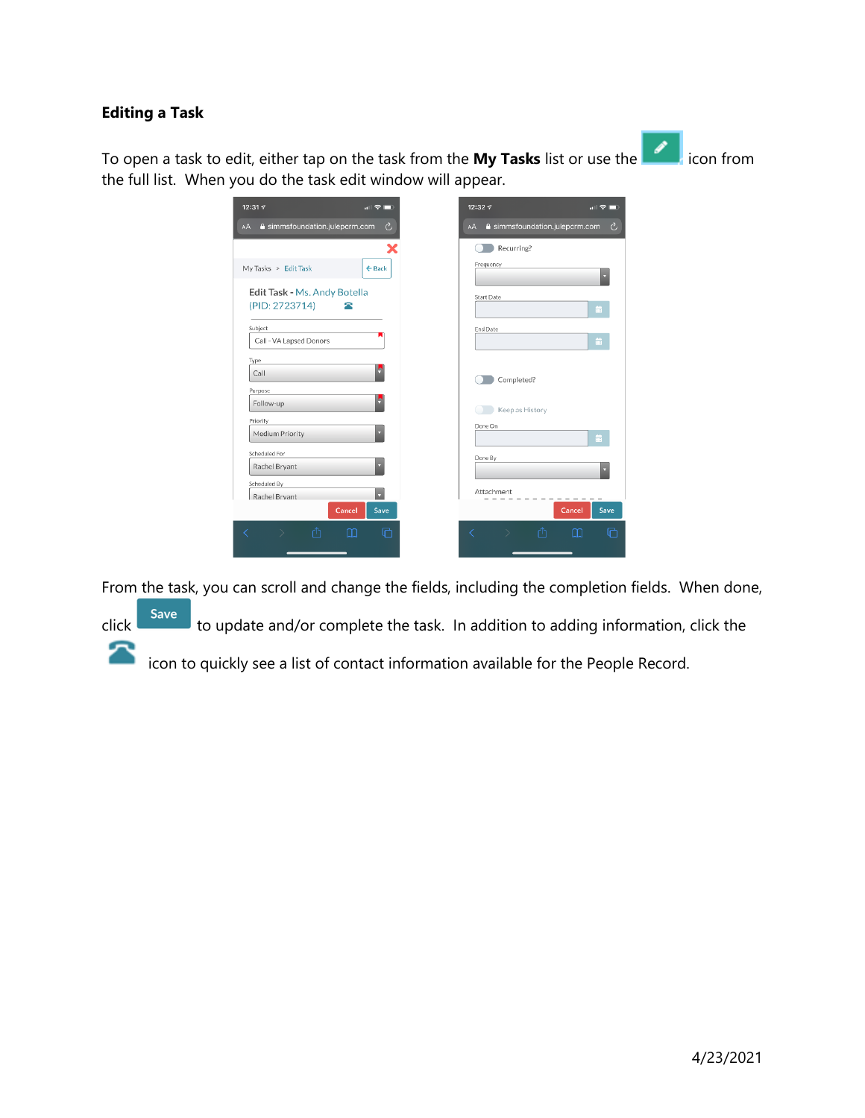#### **Editing a Task**

To open a task to edit, either tap on the task from the **My Tasks** list or use the icon from the full list. When you do the task edit window will appear.

| 12:31 $\sqrt{ }$                     | $\ln \mathcal{F} = 0$ |    | 12:32 4           |                                | $\blacksquare$ $\blacksquare$ |
|--------------------------------------|-----------------------|----|-------------------|--------------------------------|-------------------------------|
| A simmsfoundation.julepcrm.com<br>AA | Ò,                    | AA |                   | A simmsfoundation.julepcrm.com | C,                            |
|                                      | X                     |    | Recurring?        |                                |                               |
| My Tasks > Edit Task                 | $\leftarrow$ Back     |    | Frequency         |                                | ۰                             |
| Edit Task - Ms. Andy Botella         |                       |    | <b>Start Date</b> |                                |                               |
| (PID: 2723714)                       |                       |    |                   |                                | 蘦                             |
| Subject                              |                       |    | End Date          |                                |                               |
| Call - VA Lapsed Donors              |                       |    |                   |                                | 蘦                             |
| Type<br>Call                         | ķ                     |    |                   |                                |                               |
|                                      |                       |    | Completed?        |                                |                               |
| Purpose<br>Follow-up                 | ۴                     |    | Keep as History   |                                |                               |
| Priority                             |                       |    | Done On           |                                |                               |
| Medium Priority                      |                       |    |                   |                                | 蘦                             |
| Scheduled For<br>Rachel Bryant       |                       |    | Done By           |                                |                               |
| Scheduled By                         |                       |    |                   |                                |                               |
| Rachel Brvant                        | v                     |    | Attachment        |                                |                               |
|                                      | Save<br>Cancel        |    |                   | Cancel                         | Save                          |
| ſħ                                   | ╔<br>m                | ✓  |                   | ſħ<br>m                        | ╔                             |
|                                      |                       |    |                   |                                |                               |

From the task, you can scroll and change the fields, including the completion fields. When done,

click save to update and/or complete the task. In addition to adding information, click the icon to quickly see a list of contact information available for the People Record.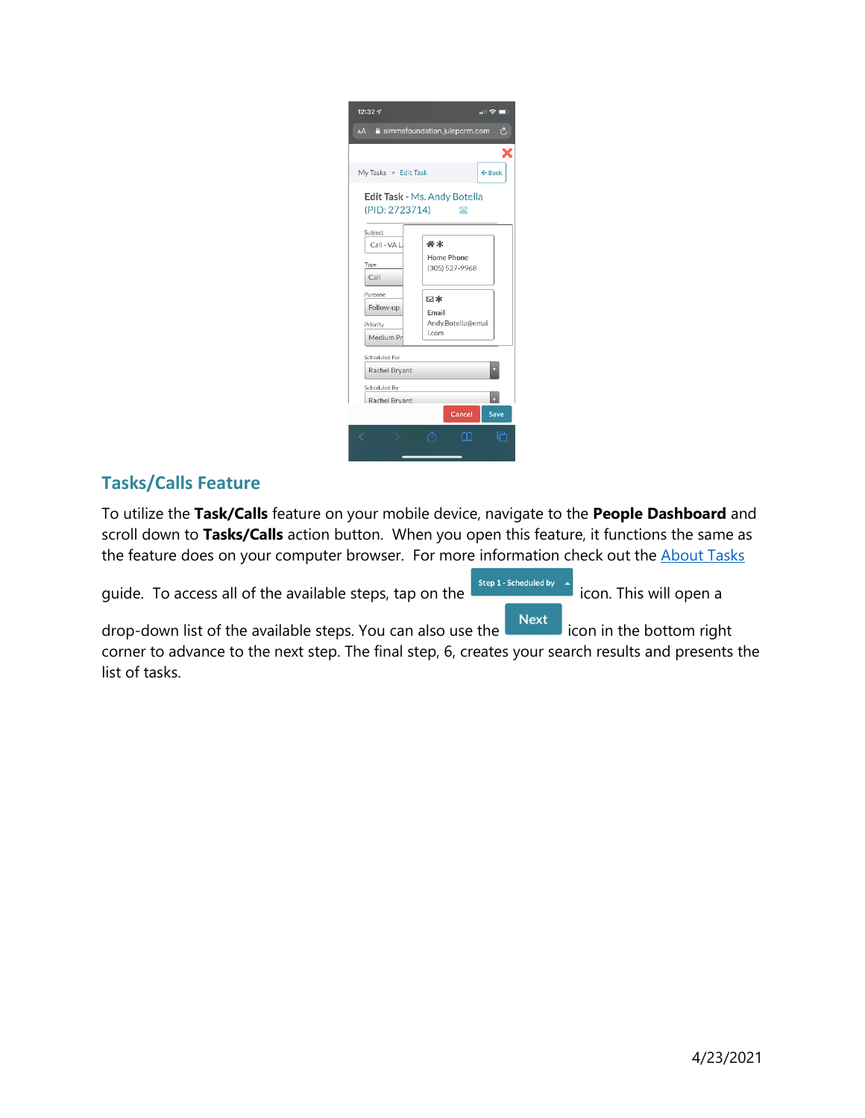| $12:32 - 7$                                         |                                    |                   | ਗ ਉ ⊪             |
|-----------------------------------------------------|------------------------------------|-------------------|-------------------|
| a simmsfoundation.julepcrm.com<br>Ò<br>AA           |                                    |                   |                   |
|                                                     |                                    |                   | ¥                 |
| My Tasks > Edit Task                                |                                    |                   | $\leftarrow$ Back |
| Edit Task - Ms. Andy Botella<br>(PID: 2723714)<br>Δ |                                    |                   |                   |
| Subject                                             |                                    |                   |                   |
| Call - VA L                                         | 谷木<br>Home Phone<br>(305) 527-9968 |                   |                   |
| Type                                                |                                    |                   |                   |
| Call                                                |                                    |                   |                   |
| Purpose<br>Follow-up                                | ⊠∗                                 |                   |                   |
| Priority                                            | Email                              | Andy.Botella@emai |                   |
| Medium Pr                                           | .com                               |                   |                   |
| Scheduled For                                       |                                    |                   |                   |
| Rachel Bryant                                       |                                    |                   |                   |
| Scheduled By                                        |                                    |                   |                   |
| Rachel Bryant                                       |                                    |                   |                   |
|                                                     |                                    | Cancel            | Save              |
|                                                     |                                    |                   |                   |
|                                                     |                                    |                   |                   |

## **Tasks/Calls Feature**

To utilize the **Task/Calls** feature on your mobile device, navigate to the **People Dashboard** and scroll down to **Tasks/Calls** action button. When you open this feature, it functions the same as the feature does on your computer browser. For more information check out the **[About Tasks](https://support.julepcrm.com/hc/en-us/articles/360044768752-Julep-About-Tasks)** 

guide. To access all of the available steps, tap on the icon. This will open a

drop-down list of the available steps. You can also use the  $\Box$  Next icon in the bottom right corner to advance to the next step. The final step, 6, creates your search results and presents the list of tasks.